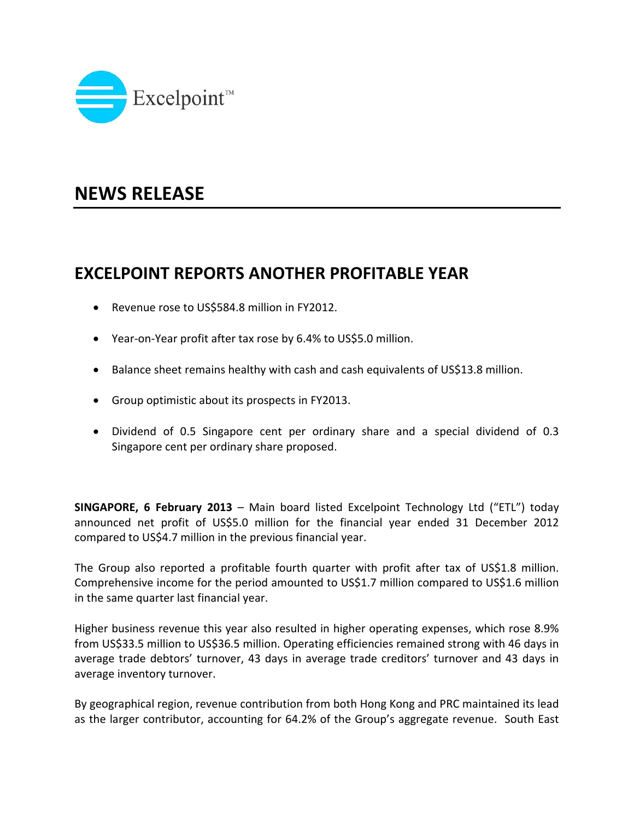

## **NEWS RELEASE**

## **EXCELPOINT REPORTS ANOTHER PROFITABLE YEAR**

- Revenue rose to US\$584.8 million in FY2012.
- Year-on-Year profit after tax rose by 6.4% to US\$5.0 million.
- Balance sheet remains healthy with cash and cash equivalents of US\$13.8 million.
- Group optimistic about its prospects in FY2013.
- Dividend of 0.5 Singapore cent per ordinary share and a special dividend of 0.3 Singapore cent per ordinary share proposed.

**SINGAPORE, 6 February 2013** – Main board listed Excelpoint Technology Ltd ("ETL") today announced net profit of US\$5.0 million for the financial year ended 31 December 2012 compared to US\$4.7 million in the previous financial year.

The Group also reported a profitable fourth quarter with profit after tax of US\$1.8 million. Comprehensive income for the period amounted to US\$1.7 million compared to US\$1.6 million in the same quarter last financial year.

Higher business revenue this year also resulted in higher operating expenses, which rose 8.9% from US\$33.5 million to US\$36.5 million. Operating efficiencies remained strong with 46 days in average trade debtors' turnover, 43 days in average trade creditors' turnover and 43 days in average inventory turnover.

By geographical region, revenue contribution from both Hong Kong and PRC maintained its lead as the larger contributor, accounting for 64.2% of the Group's aggregate revenue. South East